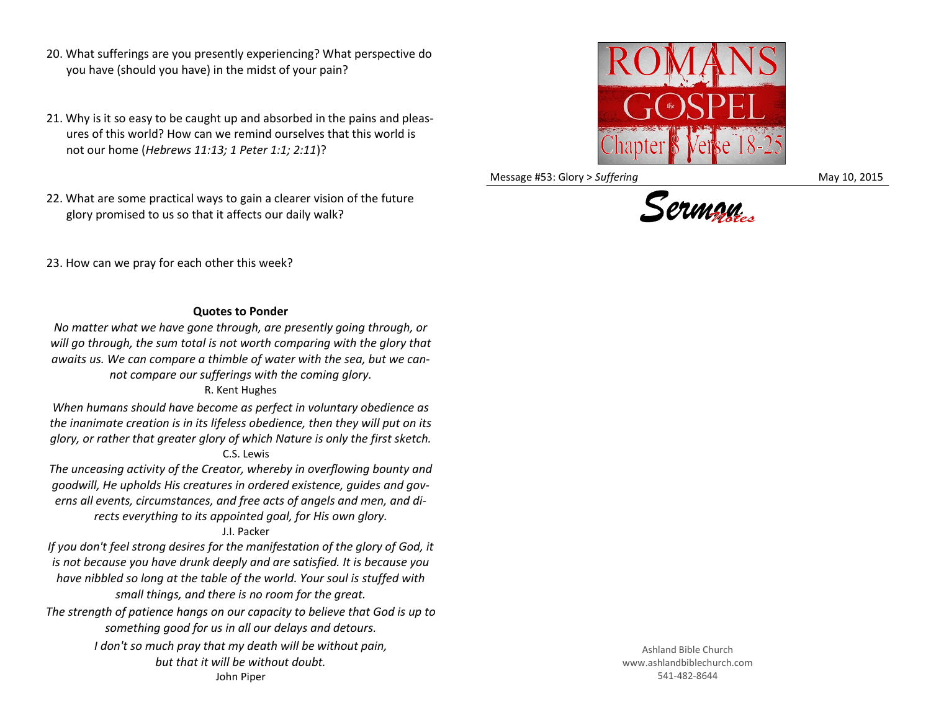- 20. What sufferings are you presently experiencing? What perspective do you have (should you have) in the midst of your pain?
- 21. Why is it so easy to be caught up and absorbed in the pains and pleasures of this world? How can we remind ourselves that this world is not our home (*Hebrews 11:13; 1 Peter 1:1; 2:11*)?
- 22. What are some practical ways to gain a clearer vision of the future glory promised to us so that it affects our daily walk?



Message #53: Glory > *Suffering* May 10, 2015



23. How can we pray for each other this week?

## **Quotes to Ponder**

*No matter what we have gone through, are presently going through, or will go through, the sum total is not worth comparing with the glory that awaits us. We can compare a thimble of water with the sea, but we cannot compare our sufferings with the coming glory.*

R. Kent Hughes

*When humans should have become as perfect in voluntary obedience as the inanimate creation is in its lifeless obedience, then they will put on its glory, or rather that greater glory of which Nature is only the first sketch.* C.S. Lewis

*The unceasing activity of the Creator, whereby in overflowing bounty and goodwill, He upholds His creatures in ordered existence, guides and governs all events, circumstances, and free acts of angels and men, and directs everything to its appointed goal, for His own glory.*

## J.I. Packer

*If you don't feel strong desires for the manifestation of the glory of God, it is not because you have drunk deeply and are satisfied. It is because you have nibbled so long at the table of the world. Your soul is stuffed with small things, and there is no room for the great.*

*The strength of patience hangs on our capacity to believe that God is up to something good for us in all our delays and detours.*

> *I don't so much pray that my death will be without pain, but that it will be without doubt.*

John Piper

Ashland Bible Church www.ashlandbiblechurch.com 541-482-8644